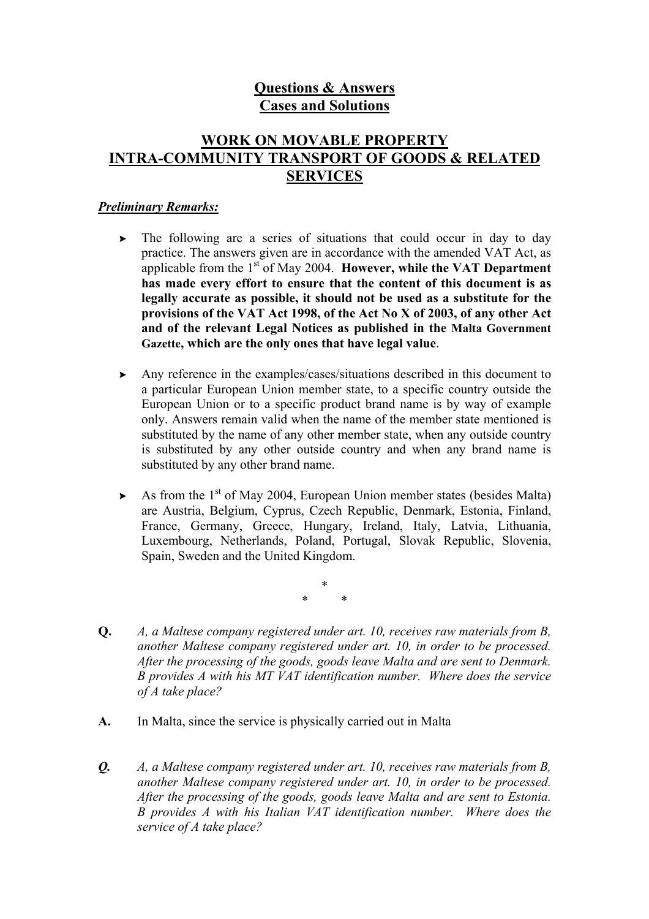# **Questions & Answers Cases and Solutions**

# **WORK ON MOVABLE PROPERTY INTRA-COMMUNITY TRANSPORT OF GOODS & RELATED SERVICES**

### *Preliminary Remarks:*

- $\triangleright$  The following are a series of situations that could occur in day to day practice. The answers given are in accordance with the amended VAT Act, as applicable from the 1<sup>st</sup> of May 2004. **However, while the VAT Department has made every effort to ensure that the content of this document is as legally accurate as possible, it should not be used as a substitute for the provisions of the VAT Act 1998, of the Act No X of 2003, of any other Act and of the relevant Legal Notices as published in the Malta Government Gazette, which are the only ones that have legal value**.
- Any reference in the examples/cases/situations described in this document to a particular European Union member state, to a specific country outside the European Union or to a specific product brand name is by way of example only. Answers remain valid when the name of the member state mentioned is substituted by the name of any other member state, when any outside country is substituted by any other outside country and when any brand name is substituted by any other brand name.
- $\triangleright$  As from the 1<sup>st</sup> of May 2004, European Union member states (besides Malta) are Austria, Belgium, Cyprus, Czech Republic, Denmark, Estonia, Finland, France, Germany, Greece, Hungary, Ireland, Italy, Latvia, Lithuania, Luxembourg, Netherlands, Poland, Portugal, Slovak Republic, Slovenia, Spain, Sweden and the United Kingdom.

\* \* \*

- **Q.** *A, a Maltese company registered under art. 10, receives raw materials from B, another Maltese company registered under art. 10, in order to be processed. After the processing of the goods, goods leave Malta and are sent to Denmark. B provides A with his MT VAT identification number. Where does the service of A take place?*
- **A.** In Malta, since the service is physically carried out in Malta
- *Q. A, a Maltese company registered under art. 10, receives raw materials from B, another Maltese company registered under art. 10, in order to be processed. After the processing of the goods, goods leave Malta and are sent to Estonia. B provides A with his Italian VAT identification number. Where does the service of A take place?*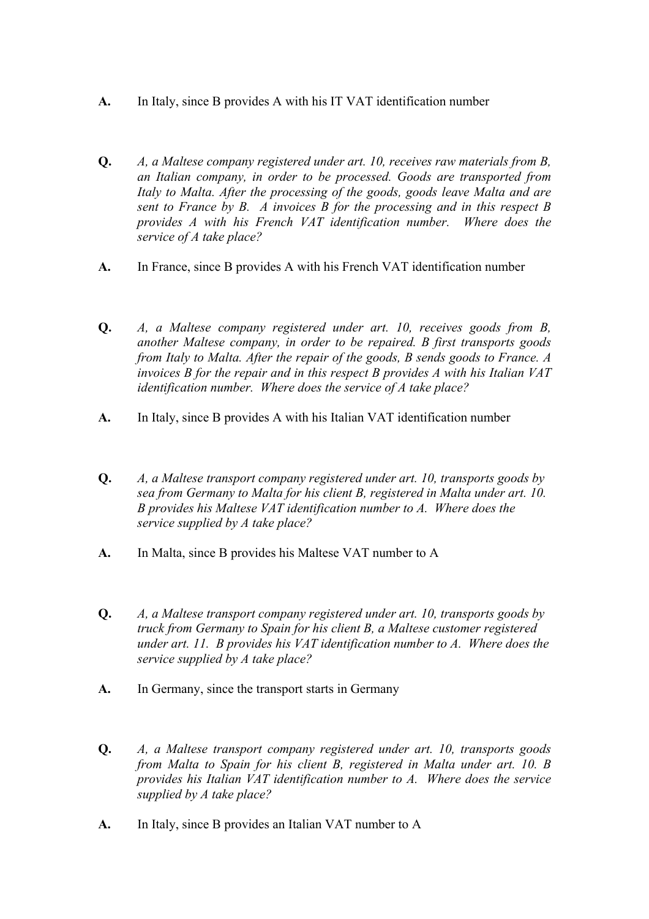- **A.** In Italy, since B provides A with his IT VAT identification number
- **Q.** *A, a Maltese company registered under art. 10, receives raw materials from B, an Italian company, in order to be processed. Goods are transported from Italy to Malta. After the processing of the goods, goods leave Malta and are sent to France by B. A invoices B for the processing and in this respect B provides A with his French VAT identification number. Where does the service of A take place?*
- **A.** In France, since B provides A with his French VAT identification number
- **Q.** *A, a Maltese company registered under art. 10, receives goods from B, another Maltese company, in order to be repaired. B first transports goods from Italy to Malta. After the repair of the goods, B sends goods to France. A invoices B for the repair and in this respect B provides A with his Italian VAT identification number. Where does the service of A take place?*
- **A.** In Italy, since B provides A with his Italian VAT identification number
- **Q.** *A, a Maltese transport company registered under art. 10, transports goods by sea from Germany to Malta for his client B, registered in Malta under art. 10. B provides his Maltese VAT identification number to A. Where does the service supplied by A take place?*
- **A.** In Malta, since B provides his Maltese VAT number to A
- **Q.** *A, a Maltese transport company registered under art. 10, transports goods by truck from Germany to Spain for his client B, a Maltese customer registered under art. 11. B provides his VAT identification number to A. Where does the service supplied by A take place?*
- **A.** In Germany, since the transport starts in Germany
- **Q.** *A, a Maltese transport company registered under art. 10, transports goods from Malta to Spain for his client B, registered in Malta under art. 10. B provides his Italian VAT identification number to A. Where does the service supplied by A take place?*
- **A.** In Italy, since B provides an Italian VAT number to A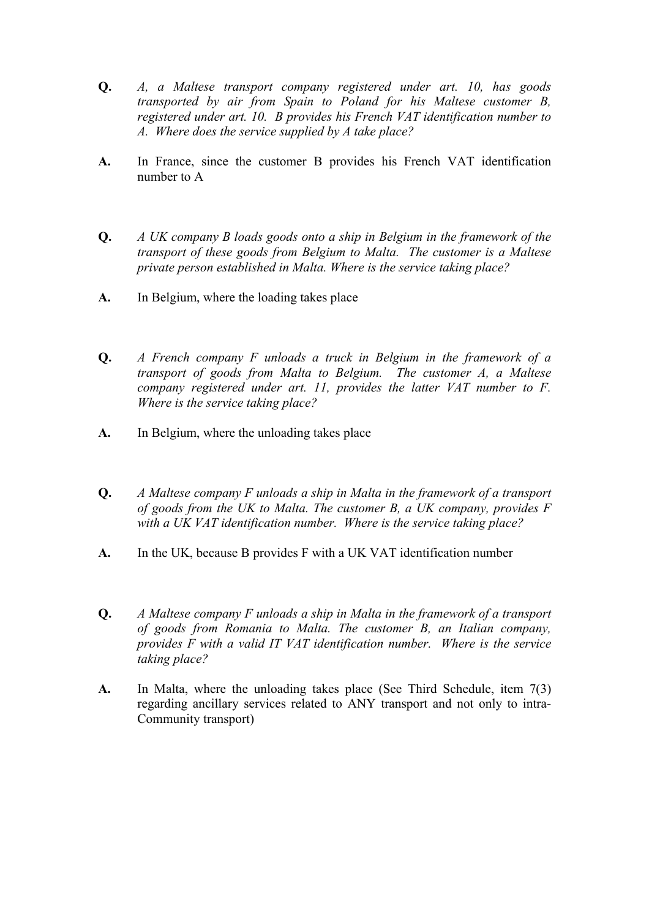- **Q.** *A, a Maltese transport company registered under art. 10, has goods transported by air from Spain to Poland for his Maltese customer B, registered under art. 10. B provides his French VAT identification number to A. Where does the service supplied by A take place?*
- **A.** In France, since the customer B provides his French VAT identification number to A
- **Q.** *A UK company B loads goods onto a ship in Belgium in the framework of the transport of these goods from Belgium to Malta. The customer is a Maltese private person established in Malta. Where is the service taking place?*
- **A.** In Belgium, where the loading takes place
- **Q.** *A French company F unloads a truck in Belgium in the framework of a transport of goods from Malta to Belgium. The customer A, a Maltese company registered under art. 11, provides the latter VAT number to F. Where is the service taking place?*
- **A.** In Belgium, where the unloading takes place
- **Q.** *A Maltese company F unloads a ship in Malta in the framework of a transport of goods from the UK to Malta. The customer B, a UK company, provides F with a UK VAT identification number. Where is the service taking place?*
- **A.** In the UK, because B provides F with a UK VAT identification number
- **Q.** *A Maltese company F unloads a ship in Malta in the framework of a transport of goods from Romania to Malta. The customer B, an Italian company, provides F with a valid IT VAT identification number. Where is the service taking place?*
- **A.** In Malta, where the unloading takes place (See Third Schedule, item 7(3) regarding ancillary services related to ANY transport and not only to intra-Community transport)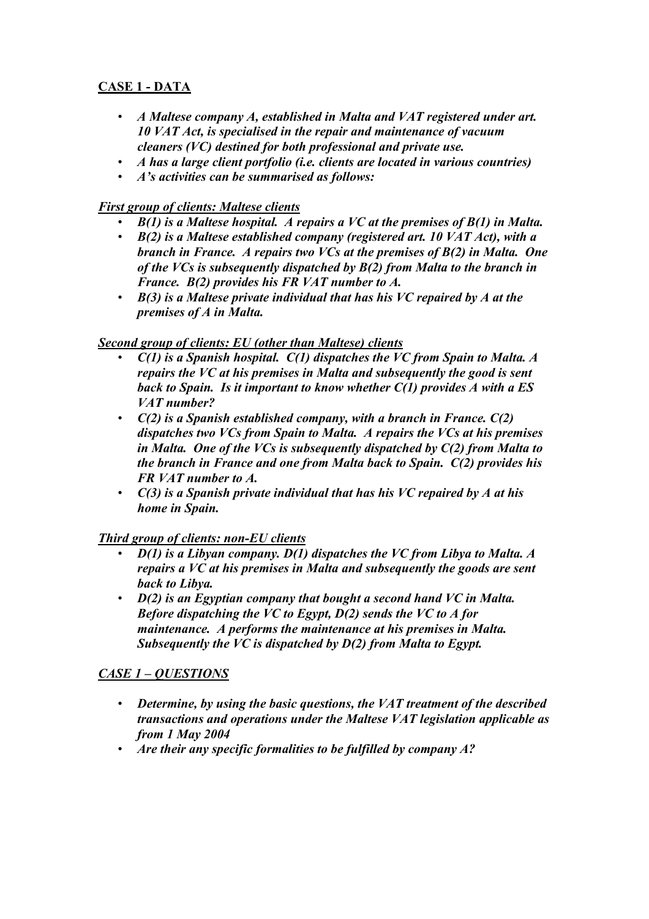## **CASE 1 - DATA**

- *A Maltese company A, established in Malta and VAT registered under art. 10 VAT Act, is specialised in the repair and maintenance of vacuum cleaners (VC) destined for both professional and private use.*
- *A has a large client portfolio (i.e. clients are located in various countries)*
- *A's activities can be summarised as follows:*

## *First group of clients: Maltese clients*

- *B(1) is a Maltese hospital. A repairs a VC at the premises of B(1) in Malta.*
- *B(2) is a Maltese established company (registered art. 10 VAT Act), with a branch in France. A repairs two VCs at the premises of B(2) in Malta. One of the VCs is subsequently dispatched by B(2) from Malta to the branch in France. B(2) provides his FR VAT number to A.*
- *B(3) is a Maltese private individual that has his VC repaired by A at the premises of A in Malta.*

## *Second group of clients: EU (other than Maltese) clients*

- *C(1) is a Spanish hospital. C(1) dispatches the VC from Spain to Malta. A repairs the VC at his premises in Malta and subsequently the good is sent back to Spain. Is it important to know whether C(1) provides A with a ES VAT number?*
- *C(2) is a Spanish established company, with a branch in France. C(2) dispatches two VCs from Spain to Malta. A repairs the VCs at his premises in Malta. One of the VCs is subsequently dispatched by C(2) from Malta to the branch in France and one from Malta back to Spain. C(2) provides his FR VAT number to A.*
- *C(3) is a Spanish private individual that has his VC repaired by A at his home in Spain.*

## *Third group of clients: non-EU clients*

- *D(1) is a Libyan company. D(1) dispatches the VC from Libya to Malta. A repairs a VC at his premises in Malta and subsequently the goods are sent back to Libya.*
- *D(2) is an Egyptian company that bought a second hand VC in Malta. Before dispatching the VC to Egypt, D(2) sends the VC to A for maintenance. A performs the maintenance at his premises in Malta. Subsequently the VC is dispatched by D(2) from Malta to Egypt.*

## *CASE 1 – QUESTIONS*

- *Determine, by using the basic questions, the VAT treatment of the described transactions and operations under the Maltese VAT legislation applicable as from 1 May 2004*
- *Are their any specific formalities to be fulfilled by company A?*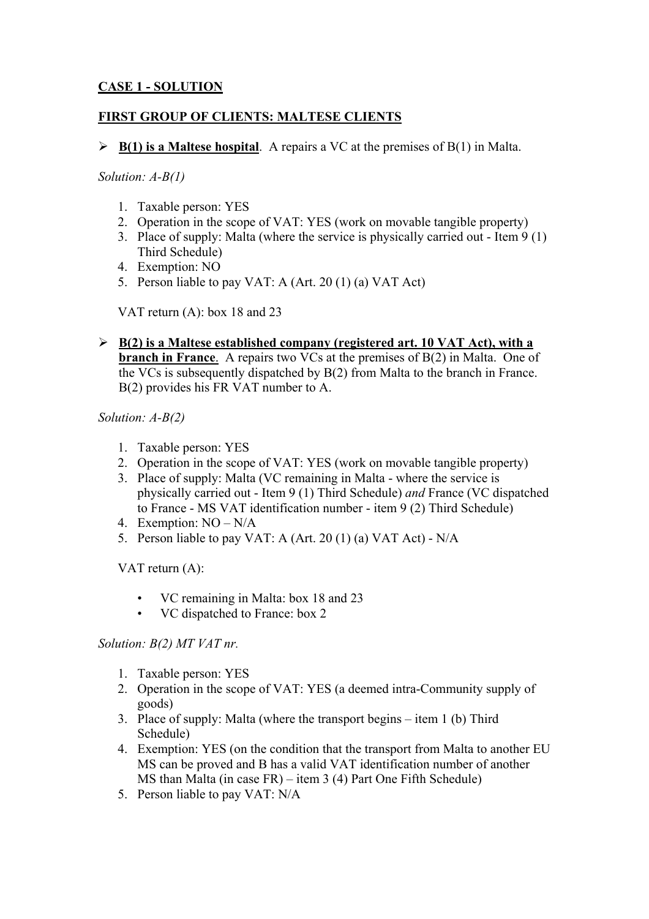## **CASE 1 - SOLUTION**

### **FIRST GROUP OF CLIENTS: MALTESE CLIENTS**

 $\triangleright$  **B(1) is a Maltese hospital**. A repairs a VC at the premises of B(1) in Malta.

*Solution: A-B(1)* 

- 1. Taxable person: YES
- 2. Operation in the scope of VAT: YES (work on movable tangible property)
- 3. Place of supply: Malta (where the service is physically carried out Item 9 (1) Third Schedule)
- 4. Exemption: NO
- 5. Person liable to pay VAT: A (Art. 20 (1) (a) VAT Act)

VAT return (A): box 18 and 23

¾ **B(2) is a Maltese established company (registered art. 10 VAT Act), with a branch in France**. A repairs two VCs at the premises of B(2) in Malta. One of the VCs is subsequently dispatched by B(2) from Malta to the branch in France. B(2) provides his FR VAT number to A.

*Solution: A-B(2)* 

- 1. Taxable person: YES
- 2. Operation in the scope of VAT: YES (work on movable tangible property)
- 3. Place of supply: Malta (VC remaining in Malta where the service is physically carried out - Item 9 (1) Third Schedule) *and* France (VC dispatched to France - MS VAT identification number - item 9 (2) Third Schedule)
- 4. Exemption: NO N/A
- 5. Person liable to pay VAT: A (Art. 20 (1) (a) VAT Act) N/A

VAT return (A):

- VC remaining in Malta: box 18 and 23
- VC dispatched to France: box 2

## *Solution: B(2) MT VAT nr.*

- 1. Taxable person: YES
- 2. Operation in the scope of VAT: YES (a deemed intra-Community supply of goods)
- 3. Place of supply: Malta (where the transport begins item 1 (b) Third Schedule)
- 4. Exemption: YES (on the condition that the transport from Malta to another EU MS can be proved and B has a valid VAT identification number of another MS than Malta (in case FR) – item 3 (4) Part One Fifth Schedule)
- 5. Person liable to pay VAT: N/A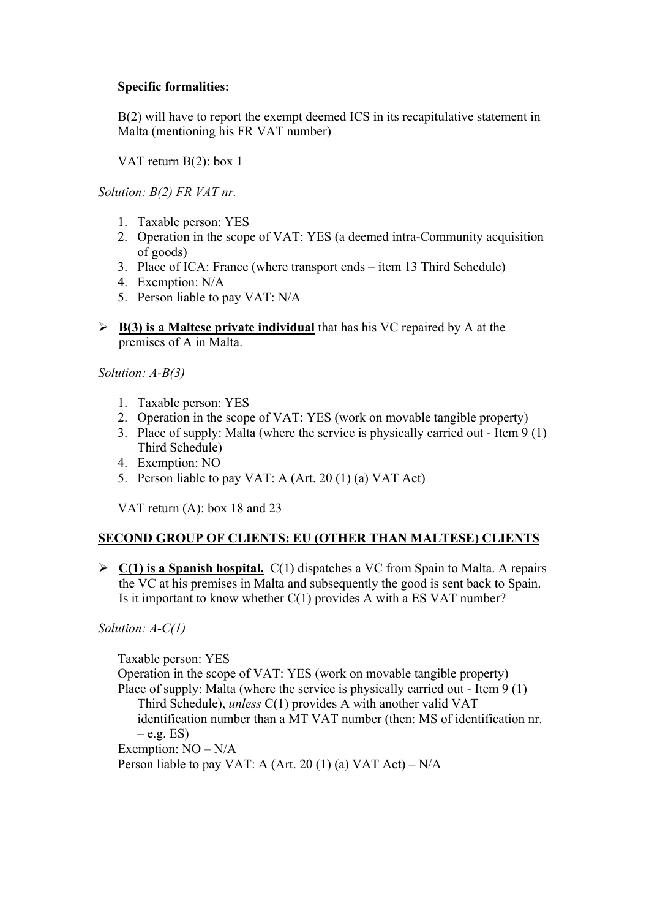## **Specific formalities:**

B(2) will have to report the exempt deemed ICS in its recapitulative statement in Malta (mentioning his FR VAT number)

VAT return B(2): box 1

*Solution: B(2) FR VAT nr.* 

- 1. Taxable person: YES
- 2. Operation in the scope of VAT: YES (a deemed intra-Community acquisition of goods)
- 3. Place of ICA: France (where transport ends item 13 Third Schedule)
- 4. Exemption: N/A
- 5. Person liable to pay VAT: N/A
- $\triangleright$  **B(3) is a Maltese private individual** that has his VC repaired by A at the premises of A in Malta.

*Solution: A-B(3)* 

- 1. Taxable person: YES
- 2. Operation in the scope of VAT: YES (work on movable tangible property)
- 3. Place of supply: Malta (where the service is physically carried out Item 9 (1) Third Schedule)
- 4. Exemption: NO
- 5. Person liable to pay VAT: A (Art. 20 (1) (a) VAT Act)

VAT return (A): box 18 and 23

## **SECOND GROUP OF CLIENTS: EU (OTHER THAN MALTESE) CLIENTS**

¾ **C(1) is a Spanish hospital.** C(1) dispatches a VC from Spain to Malta. A repairs the VC at his premises in Malta and subsequently the good is sent back to Spain. Is it important to know whether  $C(1)$  provides A with a ES VAT number?

*Solution: A-C(1)* 

Taxable person: YES Operation in the scope of VAT: YES (work on movable tangible property) Place of supply: Malta (where the service is physically carried out - Item 9 (1) Third Schedule), *unless* C(1) provides A with another valid VAT identification number than a MT VAT number (then: MS of identification nr.  $-$  e.g. ES) Exemption: NO – N/A Person liable to pay VAT: A (Art. 20 (1) (a) VAT Act) –  $N/A$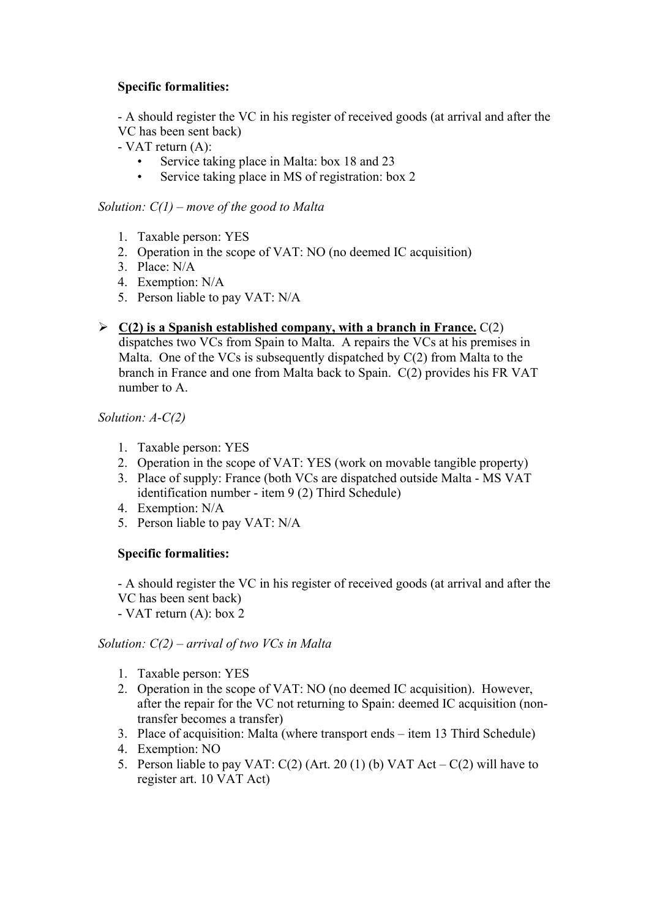## **Specific formalities:**

- A should register the VC in his register of received goods (at arrival and after the VC has been sent back)

- VAT return (A):
	- Service taking place in Malta: box 18 and 23
	- Service taking place in MS of registration: box 2

#### *Solution: C(1) – move of the good to Malta*

- 1. Taxable person: YES
- 2. Operation in the scope of VAT: NO (no deemed IC acquisition)
- 3. Place: N/A
- 4. Exemption: N/A
- 5. Person liable to pay VAT: N/A
- $\geq$  **C(2)** is a Spanish established company, with a branch in France. C(2) dispatches two VCs from Spain to Malta. A repairs the VCs at his premises in Malta. One of the VCs is subsequently dispatched by C(2) from Malta to the branch in France and one from Malta back to Spain. C(2) provides his FR VAT number to A.

*Solution: A-C(2)* 

- 1. Taxable person: YES
- 2. Operation in the scope of VAT: YES (work on movable tangible property)
- 3. Place of supply: France (both VCs are dispatched outside Malta MS VAT identification number - item 9 (2) Third Schedule)
- 4. Exemption: N/A
- 5. Person liable to pay VAT: N/A

## **Specific formalities:**

- A should register the VC in his register of received goods (at arrival and after the VC has been sent back)

- VAT return (A): box 2

#### *Solution: C(2) – arrival of two VCs in Malta*

- 1. Taxable person: YES
- 2. Operation in the scope of VAT: NO (no deemed IC acquisition). However, after the repair for the VC not returning to Spain: deemed IC acquisition (nontransfer becomes a transfer)
- 3. Place of acquisition: Malta (where transport ends item 13 Third Schedule)
- 4. Exemption: NO
- 5. Person liable to pay VAT:  $C(2)$  (Art. 20 (1) (b) VAT Act  $C(2)$  will have to register art. 10 VAT Act)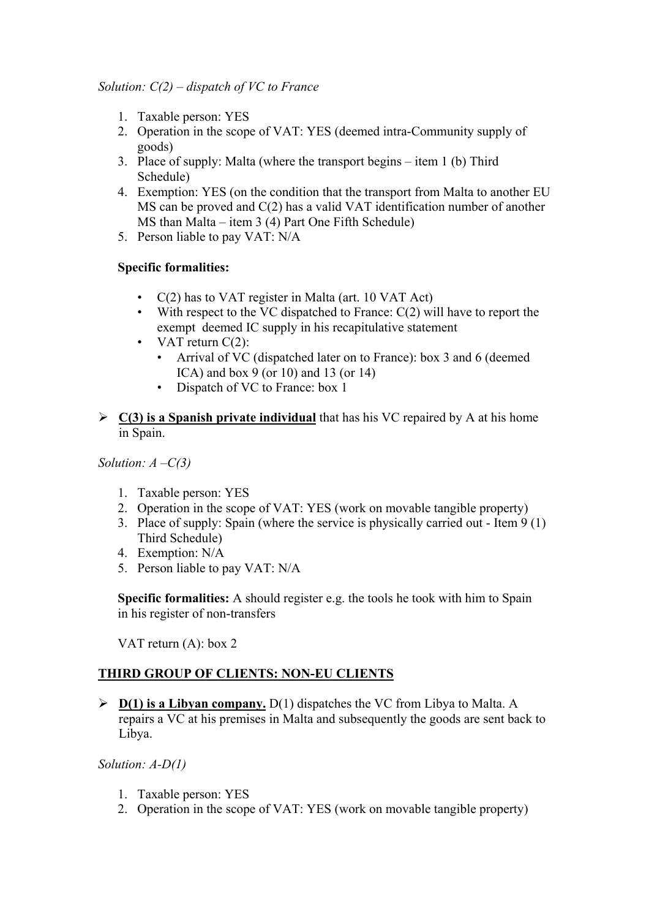- 1. Taxable person: YES
- 2. Operation in the scope of VAT: YES (deemed intra-Community supply of goods)
- 3. Place of supply: Malta (where the transport begins item 1 (b) Third Schedule)
- 4. Exemption: YES (on the condition that the transport from Malta to another EU MS can be proved and C(2) has a valid VAT identification number of another MS than Malta – item 3 (4) Part One Fifth Schedule)
- 5. Person liable to pay VAT: N/A

#### **Specific formalities:**

- C(2) has to VAT register in Malta (art. 10 VAT Act)
- With respect to the VC dispatched to France:  $C(2)$  will have to report the exempt deemed IC supply in his recapitulative statement
- VAT return  $C(2)$ :
	- Arrival of VC (dispatched later on to France): box 3 and 6 (deemed ICA) and box 9 (or 10) and 13 (or 14)
	- Dispatch of VC to France: box 1
- ¾ **C(3) is a Spanish private individual** that has his VC repaired by A at his home in Spain.

*Solution: A –C(3)* 

- 1. Taxable person: YES
- 2. Operation in the scope of VAT: YES (work on movable tangible property)
- 3. Place of supply: Spain (where the service is physically carried out Item 9 (1) Third Schedule)
- 4. Exemption: N/A
- 5. Person liable to pay VAT: N/A

**Specific formalities:** A should register e.g. the tools he took with him to Spain in his register of non-transfers

VAT return (A): box 2

## **THIRD GROUP OF CLIENTS: NON-EU CLIENTS**

 $\triangleright$  **D(1) is a Libyan company.** D(1) dispatches the VC from Libya to Malta. A repairs a VC at his premises in Malta and subsequently the goods are sent back to Libya.

*Solution: A-D(1)* 

- 1. Taxable person: YES
- 2. Operation in the scope of VAT: YES (work on movable tangible property)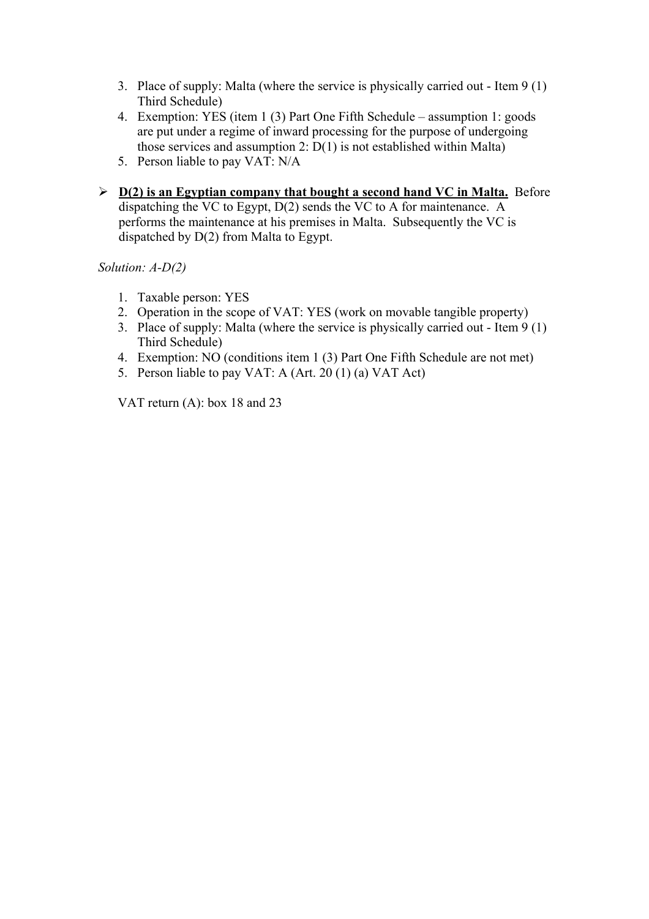- 3. Place of supply: Malta (where the service is physically carried out Item 9 (1) Third Schedule)
- 4. Exemption: YES (item 1 (3) Part One Fifth Schedule assumption 1: goods are put under a regime of inward processing for the purpose of undergoing those services and assumption 2: D(1) is not established within Malta)
- 5. Person liable to pay VAT: N/A
- $\triangleright$  **D(2) is an Egyptian company that bought a second hand VC in Malta.** Before dispatching the VC to Egypt, D(2) sends the VC to A for maintenance. A performs the maintenance at his premises in Malta. Subsequently the VC is dispatched by D(2) from Malta to Egypt.

*Solution: A-D(2)* 

- 1. Taxable person: YES
- 2. Operation in the scope of VAT: YES (work on movable tangible property)
- 3. Place of supply: Malta (where the service is physically carried out Item 9 (1) Third Schedule)
- 4. Exemption: NO (conditions item 1 (3) Part One Fifth Schedule are not met)
- 5. Person liable to pay VAT: A (Art. 20 (1) (a) VAT Act)

VAT return (A): box 18 and 23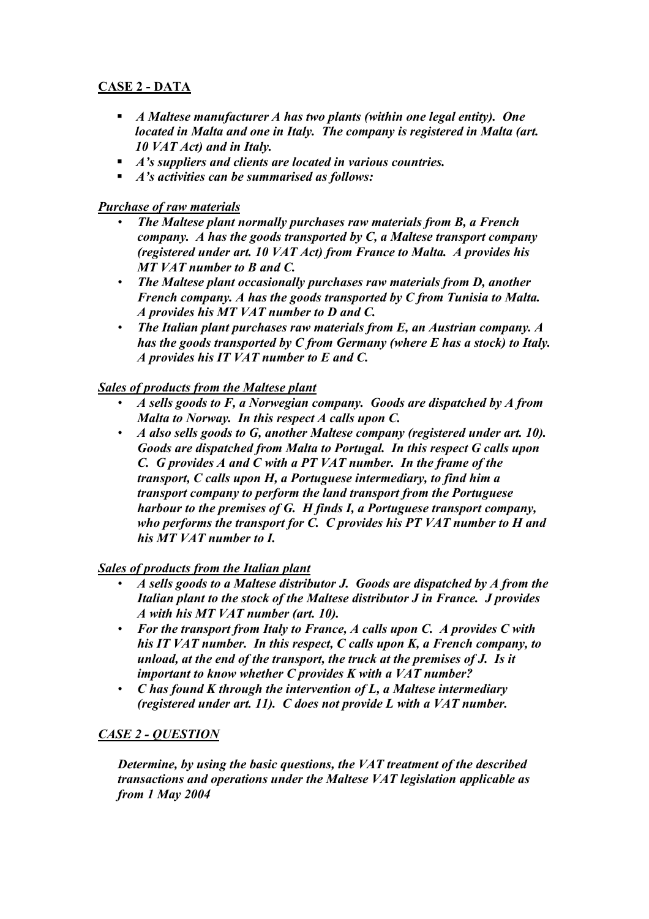## **CASE 2 - DATA**

- *A Maltese manufacturer A has two plants (within one legal entity). One located in Malta and one in Italy. The company is registered in Malta (art. 10 VAT Act) and in Italy.*
- *A's suppliers and clients are located in various countries.*
- *A's activities can be summarised as follows:*

## *Purchase of raw materials*

- *The Maltese plant normally purchases raw materials from B, a French company. A has the goods transported by C, a Maltese transport company (registered under art. 10 VAT Act) from France to Malta. A provides his MT VAT number to B and C.*
- *The Maltese plant occasionally purchases raw materials from D, another French company. A has the goods transported by C from Tunisia to Malta. A provides his MT VAT number to D and C.*
- *The Italian plant purchases raw materials from E, an Austrian company. A has the goods transported by C from Germany (where E has a stock) to Italy. A provides his IT VAT number to E and C.*

## *Sales of products from the Maltese plant*

- *A sells goods to F, a Norwegian company. Goods are dispatched by A from Malta to Norway. In this respect A calls upon C.*
- *A also sells goods to G, another Maltese company (registered under art. 10). Goods are dispatched from Malta to Portugal. In this respect G calls upon C. G provides A and C with a PT VAT number. In the frame of the transport, C calls upon H, a Portuguese intermediary, to find him a transport company to perform the land transport from the Portuguese harbour to the premises of G. H finds I, a Portuguese transport company, who performs the transport for C. C provides his PT VAT number to H and his MT VAT number to I.*

## *Sales of products from the Italian plant*

- *A sells goods to a Maltese distributor J. Goods are dispatched by A from the Italian plant to the stock of the Maltese distributor J in France. J provides A with his MT VAT number (art. 10).*
- *For the transport from Italy to France, A calls upon C. A provides C with his IT VAT number. In this respect, C calls upon K, a French company, to unload, at the end of the transport, the truck at the premises of J. Is it important to know whether C provides K with a VAT number?*
- *C has found K through the intervention of L, a Maltese intermediary (registered under art. 11). C does not provide L with a VAT number.*

## *CASE 2 - QUESTION*

*Determine, by using the basic questions, the VAT treatment of the described transactions and operations under the Maltese VAT legislation applicable as from 1 May 2004*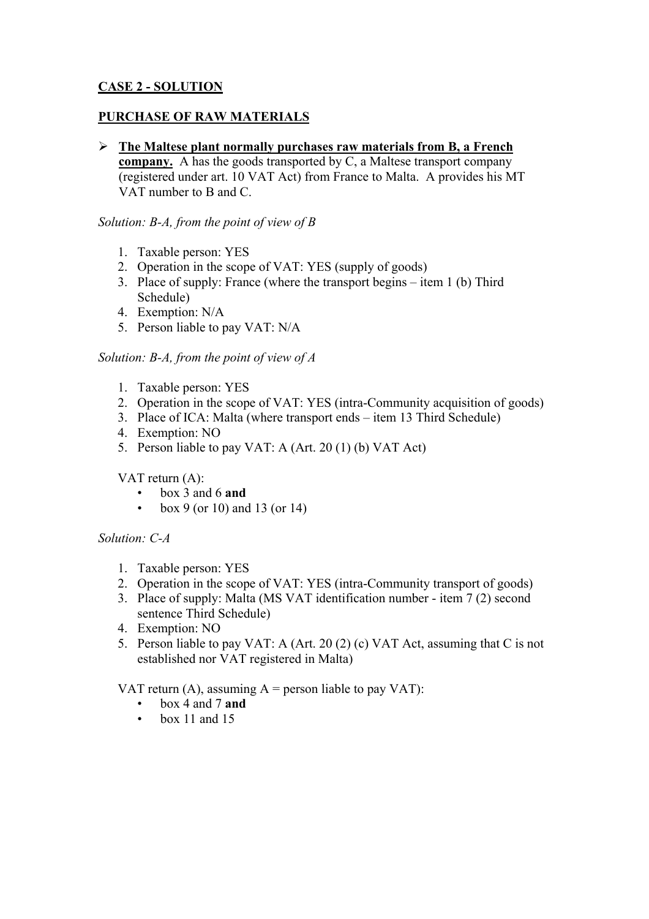## **CASE 2 - SOLUTION**

#### **PURCHASE OF RAW MATERIALS**

¾ **The Maltese plant normally purchases raw materials from B, a French** 

**company.** A has the goods transported by C, a Maltese transport company (registered under art. 10 VAT Act) from France to Malta. A provides his MT VAT number to B and C.

#### *Solution: B-A, from the point of view of B*

- 1. Taxable person: YES
- 2. Operation in the scope of VAT: YES (supply of goods)
- 3. Place of supply: France (where the transport begins item 1 (b) Third Schedule)
- 4. Exemption: N/A
- 5. Person liable to pay VAT: N/A

#### *Solution: B-A, from the point of view of A*

- 1. Taxable person: YES
- 2. Operation in the scope of VAT: YES (intra-Community acquisition of goods)
- 3. Place of ICA: Malta (where transport ends item 13 Third Schedule)
- 4. Exemption: NO
- 5. Person liable to pay VAT: A (Art. 20 (1) (b) VAT Act)

## VAT return (A):

- box 3 and 6 **and**
- box 9 (or 10) and 13 (or 14)

#### *Solution: C-A*

- 1. Taxable person: YES
- 2. Operation in the scope of VAT: YES (intra-Community transport of goods)
- 3. Place of supply: Malta (MS VAT identification number item 7 (2) second sentence Third Schedule)
- 4. Exemption: NO
- 5. Person liable to pay VAT: A (Art. 20 (2) (c) VAT Act, assuming that C is not established nor VAT registered in Malta)

## VAT return (A), assuming  $A =$  person liable to pay VAT):

- box 4 and 7 **and**
- $\bullet$  box 11 and 15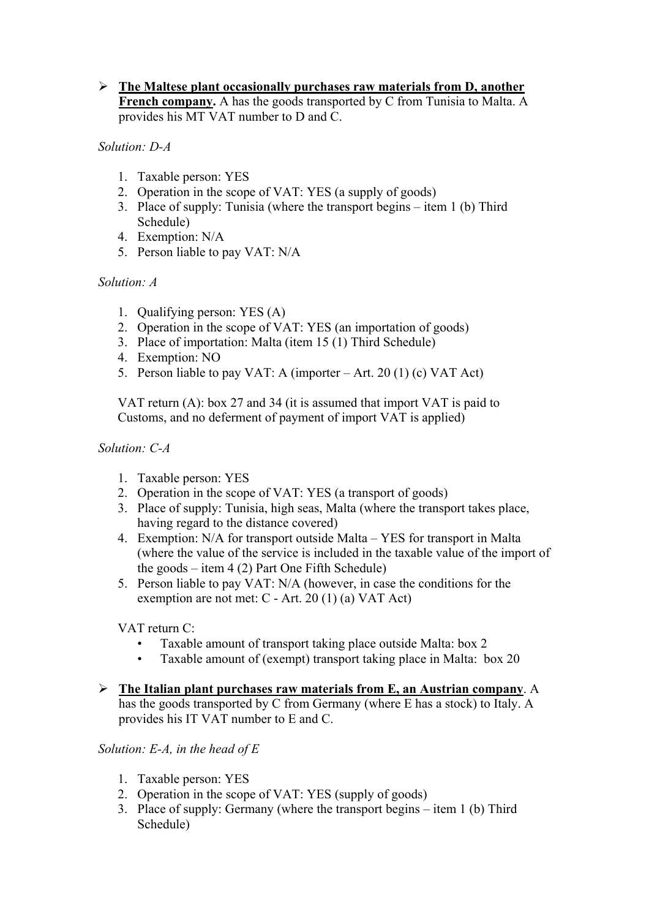### ¾ **The Maltese plant occasionally purchases raw materials from D, another**  French company. A has the goods transported by C from Tunisia to Malta. A provides his MT VAT number to D and C.

*Solution: D-A* 

- 1. Taxable person: YES
- 2. Operation in the scope of VAT: YES (a supply of goods)
- 3. Place of supply: Tunisia (where the transport begins item 1 (b) Third Schedule)
- 4. Exemption: N/A
- 5. Person liable to pay VAT: N/A

*Solution: A* 

- 1. Qualifying person: YES (A)
- 2. Operation in the scope of VAT: YES (an importation of goods)
- 3. Place of importation: Malta (item 15 (1) Third Schedule)
- 4. Exemption: NO
- 5. Person liable to pay VAT: A (importer Art. 20 (1) (c) VAT Act)

VAT return (A): box 27 and 34 (it is assumed that import VAT is paid to Customs, and no deferment of payment of import VAT is applied)

*Solution: C-A* 

- 1. Taxable person: YES
- 2. Operation in the scope of VAT: YES (a transport of goods)
- 3. Place of supply: Tunisia, high seas, Malta (where the transport takes place, having regard to the distance covered)
- 4. Exemption: N/A for transport outside Malta YES for transport in Malta (where the value of the service is included in the taxable value of the import of the goods – item 4 (2) Part One Fifth Schedule)
- 5. Person liable to pay VAT: N/A (however, in case the conditions for the exemption are not met: C - Art. 20 (1) (a) VAT Act)

VAT return C:

- Taxable amount of transport taking place outside Malta: box 2
- Taxable amount of (exempt) transport taking place in Malta: box 20
- ¾ **The Italian plant purchases raw materials from E, an Austrian company**. A has the goods transported by C from Germany (where E has a stock) to Italy. A provides his IT VAT number to E and C.

*Solution: E-A, in the head of E* 

- 1. Taxable person: YES
- 2. Operation in the scope of VAT: YES (supply of goods)
- 3. Place of supply: Germany (where the transport begins item 1 (b) Third Schedule)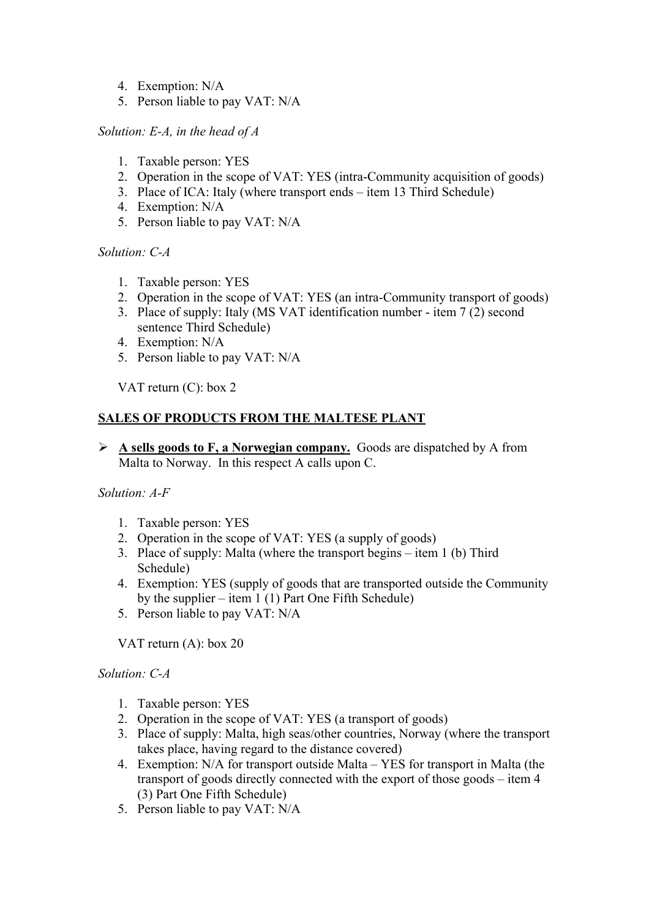- 4. Exemption: N/A
- 5. Person liable to pay VAT: N/A

#### *Solution: E-A, in the head of A*

- 1. Taxable person: YES
- 2. Operation in the scope of VAT: YES (intra-Community acquisition of goods)
- 3. Place of ICA: Italy (where transport ends item 13 Third Schedule)
- 4. Exemption: N/A
- 5. Person liable to pay VAT: N/A

#### *Solution: C-A*

- 1. Taxable person: YES
- 2. Operation in the scope of VAT: YES (an intra-Community transport of goods)
- 3. Place of supply: Italy (MS VAT identification number item 7 (2) second sentence Third Schedule)
- 4. Exemption: N/A
- 5. Person liable to pay VAT: N/A

VAT return (C): box 2

## **SALES OF PRODUCTS FROM THE MALTESE PLANT**

¾ **A sells goods to F, a Norwegian company.** Goods are dispatched by A from Malta to Norway. In this respect A calls upon C.

#### *Solution: A-F*

- 1. Taxable person: YES
- 2. Operation in the scope of VAT: YES (a supply of goods)
- 3. Place of supply: Malta (where the transport begins item 1 (b) Third Schedule)
- 4. Exemption: YES (supply of goods that are transported outside the Community by the supplier – item  $1(1)$  Part One Fifth Schedule)
- 5. Person liable to pay VAT: N/A

VAT return (A): box 20

#### *Solution: C-A*

- 1. Taxable person: YES
- 2. Operation in the scope of VAT: YES (a transport of goods)
- 3. Place of supply: Malta, high seas/other countries, Norway (where the transport takes place, having regard to the distance covered)
- 4. Exemption: N/A for transport outside Malta YES for transport in Malta (the transport of goods directly connected with the export of those goods – item 4 (3) Part One Fifth Schedule)
- 5. Person liable to pay VAT: N/A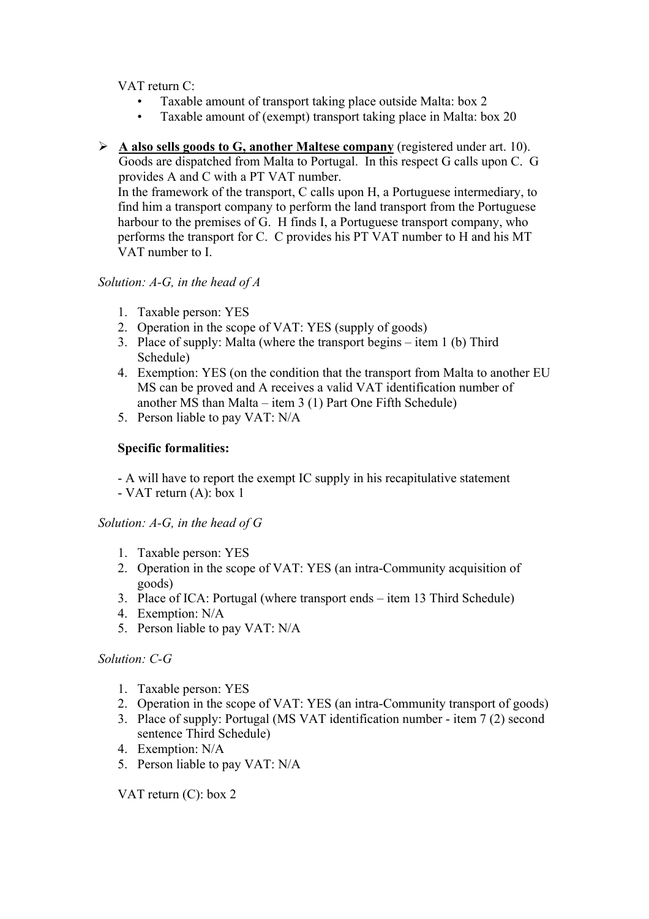VAT return C:

- Taxable amount of transport taking place outside Malta: box 2
- Taxable amount of (exempt) transport taking place in Malta: box 20
- ¾ **A also sells goods to G, another Maltese company** (registered under art. 10). Goods are dispatched from Malta to Portugal. In this respect G calls upon C. G provides A and C with a PT VAT number.

In the framework of the transport, C calls upon H, a Portuguese intermediary, to find him a transport company to perform the land transport from the Portuguese harbour to the premises of G. H finds I, a Portuguese transport company, who performs the transport for C. C provides his PT VAT number to H and his MT VAT number to I.

## *Solution: A-G, in the head of A*

- 1. Taxable person: YES
- 2. Operation in the scope of VAT: YES (supply of goods)
- 3. Place of supply: Malta (where the transport begins item 1 (b) Third Schedule)
- 4. Exemption: YES (on the condition that the transport from Malta to another EU MS can be proved and A receives a valid VAT identification number of another MS than Malta – item 3 (1) Part One Fifth Schedule)
- 5. Person liable to pay VAT: N/A

## **Specific formalities:**

- A will have to report the exempt IC supply in his recapitulative statement

- VAT return (A): box 1

## *Solution: A-G, in the head of G*

- 1. Taxable person: YES
- 2. Operation in the scope of VAT: YES (an intra-Community acquisition of goods)
- 3. Place of ICA: Portugal (where transport ends item 13 Third Schedule)
- 4. Exemption: N/A
- 5. Person liable to pay VAT: N/A

## *Solution: C-G*

- 1. Taxable person: YES
- 2. Operation in the scope of VAT: YES (an intra-Community transport of goods)
- 3. Place of supply: Portugal (MS VAT identification number item 7 (2) second sentence Third Schedule)
- 4. Exemption: N/A
- 5. Person liable to pay VAT: N/A

VAT return (C): box 2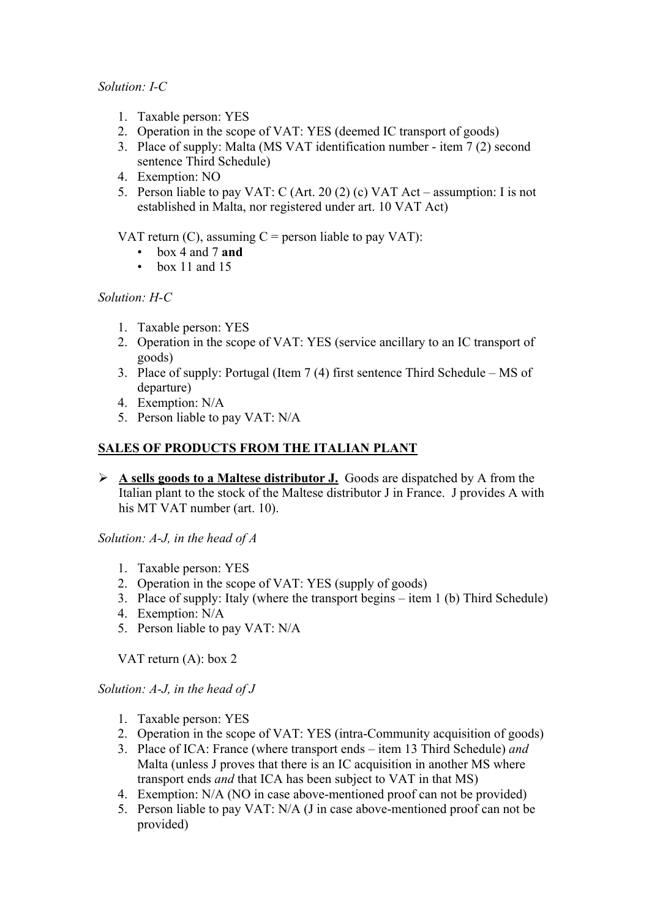#### *Solution: I-C*

- 1. Taxable person: YES
- 2. Operation in the scope of VAT: YES (deemed IC transport of goods)
- 3. Place of supply: Malta (MS VAT identification number item 7 (2) second sentence Third Schedule)
- 4. Exemption: NO
- 5. Person liable to pay VAT: C (Art. 20 (2) (c) VAT Act assumption: I is not established in Malta, nor registered under art. 10 VAT Act)

VAT return  $(C)$ , assuming  $C$  = person liable to pay VAT):

- box 4 and 7 **and**
- box 11 and 15

## *Solution: H-C*

- 1. Taxable person: YES
- 2. Operation in the scope of VAT: YES (service ancillary to an IC transport of goods)
- 3. Place of supply: Portugal (Item 7 (4) first sentence Third Schedule MS of departure)
- 4. Exemption: N/A
- 5. Person liable to pay VAT: N/A

## **SALES OF PRODUCTS FROM THE ITALIAN PLANT**

¾ **A sells goods to a Maltese distributor J.** Goods are dispatched by A from the Italian plant to the stock of the Maltese distributor J in France. J provides A with his MT VAT number (art. 10).

*Solution: A-J, in the head of A* 

- 1. Taxable person: YES
- 2. Operation in the scope of VAT: YES (supply of goods)
- 3. Place of supply: Italy (where the transport begins item 1 (b) Third Schedule)
- 4. Exemption: N/A
- 5. Person liable to pay VAT: N/A

VAT return (A): box 2

*Solution: A-J, in the head of J* 

- 1. Taxable person: YES
- 2. Operation in the scope of VAT: YES (intra-Community acquisition of goods)
- 3. Place of ICA: France (where transport ends item 13 Third Schedule) *and* Malta (unless J proves that there is an IC acquisition in another MS where transport ends *and* that ICA has been subject to VAT in that MS)
- 4. Exemption: N/A (NO in case above-mentioned proof can not be provided)
- 5. Person liable to pay VAT: N/A (J in case above-mentioned proof can not be provided)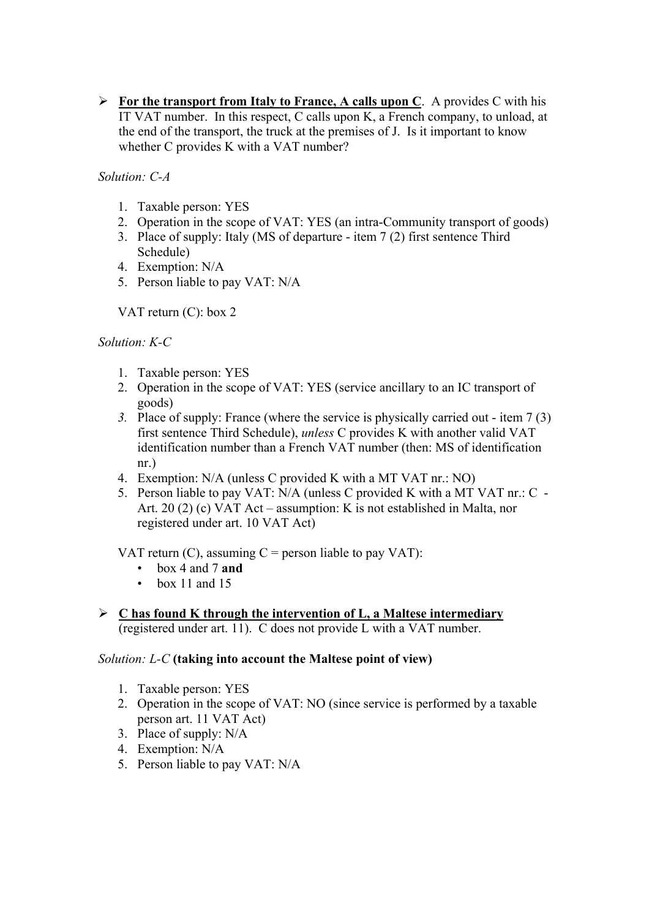¾ **For the transport from Italy to France, A calls upon C**. A provides C with his IT VAT number. In this respect, C calls upon K, a French company, to unload, at the end of the transport, the truck at the premises of J. Is it important to know whether C provides K with a VAT number?

*Solution: C-A* 

- 1. Taxable person: YES
- 2. Operation in the scope of VAT: YES (an intra-Community transport of goods)
- 3. Place of supply: Italy (MS of departure item 7 (2) first sentence Third Schedule)
- 4. Exemption: N/A
- 5. Person liable to pay VAT: N/A

VAT return (C): box 2

#### *Solution: K-C*

- 1. Taxable person: YES
- 2. Operation in the scope of VAT: YES (service ancillary to an IC transport of goods)
- *3.* Place of supply: France (where the service is physically carried out item 7 (3) first sentence Third Schedule), *unless* C provides K with another valid VAT identification number than a French VAT number (then: MS of identification nr.)
- 4. Exemption: N/A (unless C provided K with a MT VAT nr.: NO)
- 5. Person liable to pay VAT: N/A (unless C provided K with a MT VAT nr.: C Art. 20 (2) (c) VAT Act – assumption: K is not established in Malta, nor registered under art. 10 VAT Act)

VAT return  $(C)$ , assuming  $C$  = person liable to pay VAT):

- box 4 and 7 **and**
- $\cdot$  box 11 and 15
- ¾ **C has found K through the intervention of L, a Maltese intermediary** (registered under art. 11). C does not provide L with a VAT number.

#### *Solution: L-C* **(taking into account the Maltese point of view)**

- 1. Taxable person: YES
- 2. Operation in the scope of VAT: NO (since service is performed by a taxable person art. 11 VAT Act)
- 3. Place of supply: N/A
- 4. Exemption: N/A
- 5. Person liable to pay VAT: N/A